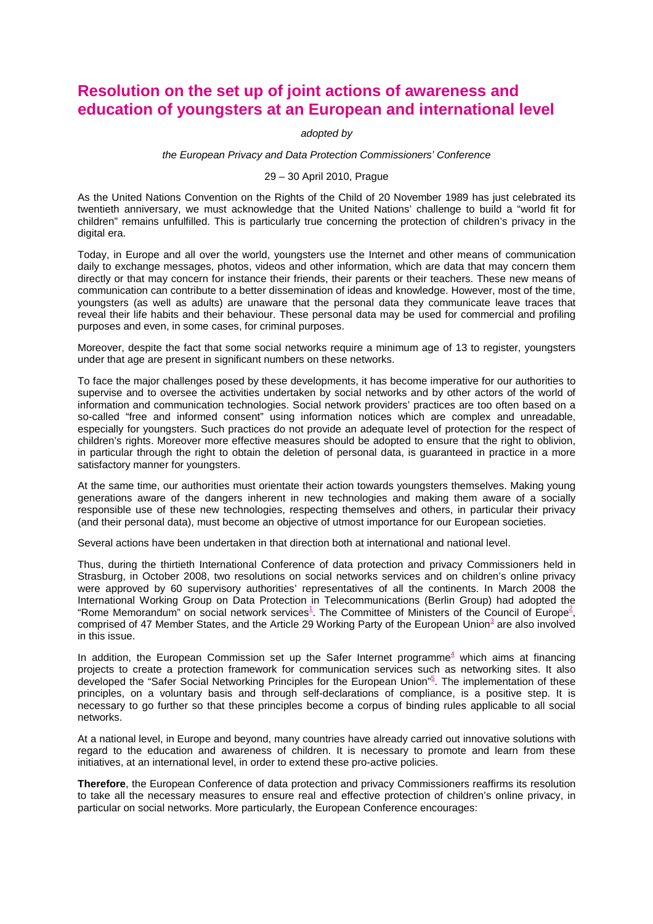## **Resolution on the set up of joint actions of awareness and education of youngsters at an European and international level**

## adopted by

## the European Privacy and Data Protection Commissioners' Conference

## 29 – 30 April 2010, Prague

As the United Nations Convention on the Rights of the Child of 20 November 1989 has just celebrated its twentieth anniversary, we must acknowledge that the United Nations' challenge to build a "world fit for children" remains unfulfilled. This is particularly true concerning the protection of children's privacy in the digital era.

Today, in Europe and all over the world, youngsters use the Internet and other means of communication daily to exchange messages, photos, videos and other information, which are data that may concern them directly or that may concern for instance their friends, their parents or their teachers. These new means of communication can contribute to a better dissemination of ideas and knowledge. However, most of the time, youngsters (as well as adults) are unaware that the personal data they communicate leave traces that reveal their life habits and their behaviour. These personal data may be used for commercial and profiling purposes and even, in some cases, for criminal purposes.

Moreover, despite the fact that some social networks require a minimum age of 13 to register, youngsters under that age are present in significant numbers on these networks.

To face the major challenges posed by these developments, it has become imperative for our authorities to supervise and to oversee the activities undertaken by social networks and by other actors of the world of information and communication technologies. Social network providers' practices are too often based on a so-called "free and informed consent" using information notices which are complex and unreadable, especially for youngsters. Such practices do not provide an adequate level of protection for the respect of children's rights. Moreover more effective measures should be adopted to ensure that the right to oblivion, in particular through the right to obtain the deletion of personal data, is guaranteed in practice in a more satisfactory manner for youngsters.

At the same time, our authorities must orientate their action towards youngsters themselves. Making young generations aware of the dangers inherent in new technologies and making them aware of a socially responsible use of these new technologies, respecting themselves and others, in particular their privacy (and their personal data), must become an objective of utmost importance for our European societies.

Several actions have been undertaken in that direction both at international and national level.

Thus, during the thirtieth International Conference of data protection and privacy Commissioners held in Strasburg, in October 2008, two resolutions on social networks services and on children's online privacy were approved by 60 supervisory authorities' representatives of all the continents. In March 2008 the International Working Group on Data Protection in Telecommunications (Berlin Group) had adopted the "Rome Memorandum" on social network services<sup>1</sup>. The Committee of Ministers of the Council of Europe<sup>2</sup>, comprised of 47 Member States, and the Article 29 Working Party of the European Union<sup>3</sup> are also involved in this issue.

In addition, the European Commission set up the Safer Internet programme $4$  which aims at financing projects to create a protection framework for communication services such as networking sites. It also developed the "Safer Social Networking Principles for the European Union"<sup>5</sup>. The implementation of these principles, on a voluntary basis and through self-declarations of compliance, is a positive step. It is necessary to go further so that these principles become a corpus of binding rules applicable to all social networks.

At a national level, in Europe and beyond, many countries have already carried out innovative solutions with regard to the education and awareness of children. It is necessary to promote and learn from these initiatives, at an international level, in order to extend these pro-active policies.

**Therefore**, the European Conference of data protection and privacy Commissioners reaffirms its resolution to take all the necessary measures to ensure real and effective protection of children's online privacy, in particular on social networks. More particularly, the European Conference encourages: